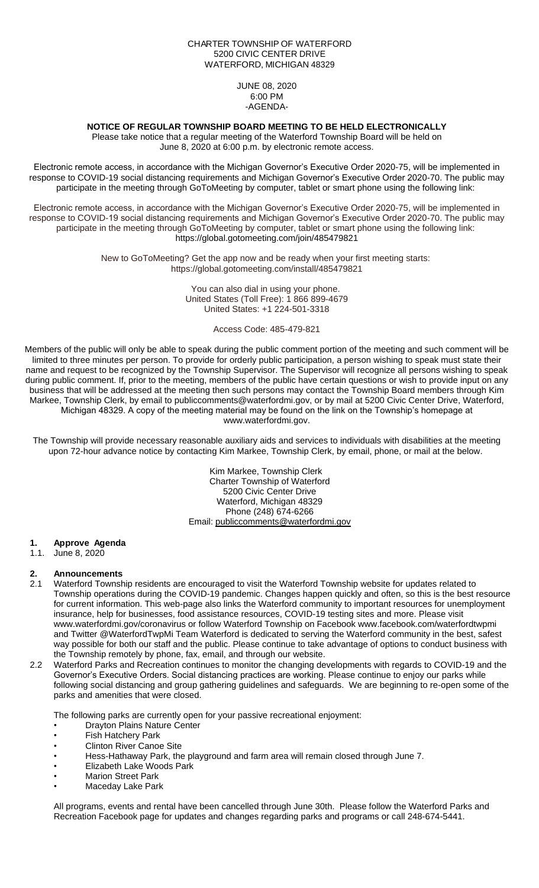#### CHARTER TOWNSHIP OF WATERFORD 5200 CIVIC CENTER DRIVE WATERFORD, MICHIGAN 48329

JUNE 08, 2020 6:00 PM -AGENDA-

### **NOTICE OF REGULAR TOWNSHIP BOARD MEETING TO BE HELD ELECTRONICALLY**

Please take notice that a regular meeting of the Waterford Township Board will be held on June 8, 2020 at 6:00 p.m. by electronic remote access.

Electronic remote access, in accordance with the Michigan Governor's Executive Order 2020-75, will be implemented in response to COVID-19 social distancing requirements and Michigan Governor's Executive Order 2020-70. The public may participate in the meeting through GoToMeeting by computer, tablet or smart phone using the following link:

Electronic remote access, in accordance with the Michigan Governor's Executive Order 2020-75, will be implemented in response to COVID-19 social distancing requirements and Michigan Governor's Executive Order 2020-70. The public may participate in the meeting through GoToMeeting by computer, tablet or smart phone using the following link: https://global.gotomeeting.com/join/485479821

> New to GoToMeeting? Get the app now and be ready when your first meeting starts: https://global.gotomeeting.com/install/485479821

> > You can also dial in using your phone. United States (Toll Free): 1 866 899-4679 United States: +1 224-501-3318

> > > Access Code: 485-479-821

Members of the public will only be able to speak during the public comment portion of the meeting and such comment will be limited to three minutes per person. To provide for orderly public participation, a person wishing to speak must state their name and request to be recognized by the Township Supervisor. The Supervisor will recognize all persons wishing to speak during public comment. If, prior to the meeting, members of the public have certain questions or wish to provide input on any business that will be addressed at the meeting then such persons may contact the Township Board members through Kim Markee, Township Clerk, by email to publiccomments@waterfordmi.gov, or by mail at 5200 Civic Center Drive, Waterford, Michigan 48329. A copy of the meeting material may be found on the link on the Township's homepage at www.waterfordmi.gov.

The Township will provide necessary reasonable auxiliary aids and services to individuals with disabilities at the meeting upon 72-hour advance notice by contacting Kim Markee, Township Clerk, by email, phone, or mail at the below.

> Kim Markee, Township Clerk Charter Township of Waterford 5200 Civic Center Drive Waterford, Michigan 48329 Phone (248) 674-6266 Email: [publiccomments@waterfordmi.gov](mailto:publiccomments@waterfordmi.gov)

#### **1. Approve Agenda**

1.1. June 8, 2020

# **2. Announcements**

- 2.1 Waterford Township residents are encouraged to visit the Waterford Township website for updates related to Township operations during the COVID-19 pandemic. Changes happen quickly and often, so this is the best resource for current information. This web-page also links the Waterford community to important resources for unemployment insurance, help for businesses, food assistance resources, COVID-19 testing sites and more. Please visit www.waterfordmi.gov/coronavirus or follow Waterford Township on Facebook www.facebook.com/waterfordtwpmi and Twitter @WaterfordTwpMi Team Waterford is dedicated to serving the Waterford community in the best, safest way possible for both our staff and the public. Please continue to take advantage of options to conduct business with the Township remotely by phone, fax, email, and through our website.
- 2.2 Waterford Parks and Recreation continues to monitor the changing developments with regards to COVID-19 and the Governor's Executive Orders. Social distancing practices are working. Please continue to enjoy our parks while following social distancing and group gathering guidelines and safeguards. We are beginning to re-open some of the parks and amenities that were closed.

The following parks are currently open for your passive recreational enjoyment:

- **Drayton Plains Nature Center**
- Fish Hatchery Park
- **Clinton River Canoe Site**
- Hess-Hathaway Park, the playground and farm area will remain closed through June 7.
- Elizabeth Lake Woods Park
- **Marion Street Park**
- Maceday Lake Park

All programs, events and rental have been cancelled through June 30th. Please follow the Waterford Parks and Recreation Facebook page for updates and changes regarding parks and programs or call 248-674-5441.